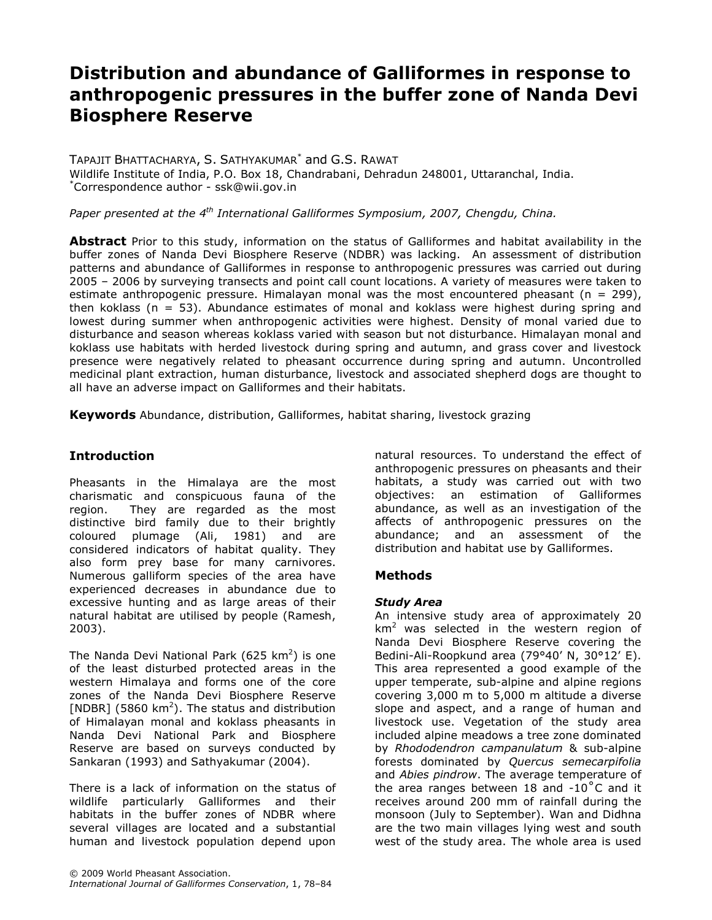# Distribution and abundance of Galliformes in response to anthropogenic pressures in the buffer zone of Nanda Devi Biosphere Reserve

TAPAJIT BHATTACHARYA, S. SATHYAKUMAR\* and G.S. RAWAT Wildlife Institute of India, P.O. Box 18, Chandrabani, Dehradun 248001, Uttaranchal, India. \*Correspondence author - ssk@wii.gov.in

Paper presented at the  $4<sup>th</sup>$  International Galliformes Symposium, 2007, Chengdu, China.

Abstract Prior to this study, information on the status of Galliformes and habitat availability in the buffer zones of Nanda Devi Biosphere Reserve (NDBR) was lacking. An assessment of distribution patterns and abundance of Galliformes in response to anthropogenic pressures was carried out during 2005 – 2006 by surveying transects and point call count locations. A variety of measures were taken to estimate anthropogenic pressure. Himalayan monal was the most encountered pheasant ( $n = 299$ ), then koklass ( $n = 53$ ). Abundance estimates of monal and koklass were highest during spring and lowest during summer when anthropogenic activities were highest. Density of monal varied due to disturbance and season whereas koklass varied with season but not disturbance. Himalayan monal and koklass use habitats with herded livestock during spring and autumn, and grass cover and livestock presence were negatively related to pheasant occurrence during spring and autumn. Uncontrolled medicinal plant extraction, human disturbance, livestock and associated shepherd dogs are thought to all have an adverse impact on Galliformes and their habitats.

Keywords Abundance, distribution, Galliformes, habitat sharing, livestock grazing

# **Introduction**

Pheasants in the Himalaya are the most charismatic and conspicuous fauna of the region. They are regarded as the most distinctive bird family due to their brightly coloured plumage (Ali, 1981) and are considered indicators of habitat quality. They also form prey base for many carnivores. Numerous galliform species of the area have experienced decreases in abundance due to excessive hunting and as large areas of their natural habitat are utilised by people (Ramesh, 2003).

The Nanda Devi National Park (625 km<sup>2</sup>) is one of the least disturbed protected areas in the western Himalaya and forms one of the core zones of the Nanda Devi Biosphere Reserve [NDBR] (5860  $km^2$ ). The status and distribution of Himalayan monal and koklass pheasants in Nanda Devi National Park and Biosphere Reserve are based on surveys conducted by Sankaran (1993) and Sathyakumar (2004).

There is a lack of information on the status of wildlife particularly Galliformes and their habitats in the buffer zones of NDBR where several villages are located and a substantial human and livestock population depend upon

© 2009 World Pheasant Association. International Journal of Galliformes Conservation, 1, 78–84 natural resources. To understand the effect of anthropogenic pressures on pheasants and their habitats, a study was carried out with two objectives: an estimation of Galliformes abundance, as well as an investigation of the affects of anthropogenic pressures on the abundance; and an assessment of the distribution and habitat use by Galliformes.

#### **Methods**

#### Study Area

An intensive study area of approximately 20  $km<sup>2</sup>$  was selected in the western region of Nanda Devi Biosphere Reserve covering the Bedini-Ali-Roopkund area (79°40' N, 30°12' E). This area represented a good example of the upper temperate, sub-alpine and alpine regions covering 3,000 m to 5,000 m altitude a diverse slope and aspect, and a range of human and livestock use. Vegetation of the study area included alpine meadows a tree zone dominated by Rhododendron campanulatum & sub-alpine forests dominated by Quercus semecarpifolia and Abies pindrow. The average temperature of the area ranges between 18 and  $-10\degree$ C and it receives around 200 mm of rainfall during the monsoon (July to September). Wan and Didhna are the two main villages lying west and south west of the study area. The whole area is used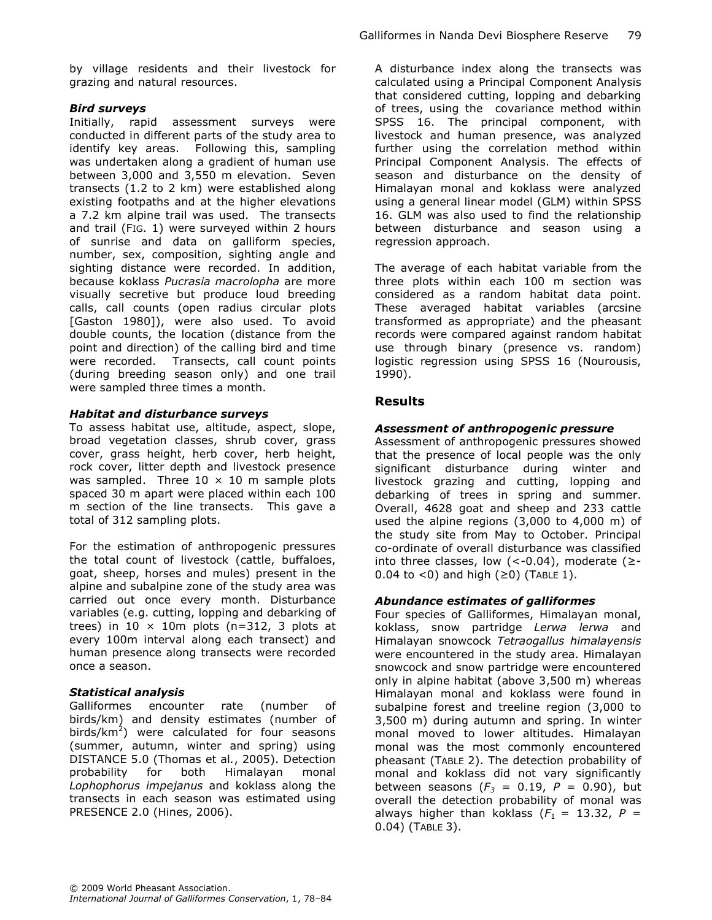by village residents and their livestock for grazing and natural resources.

### Bird surveys

Initially, rapid assessment surveys were conducted in different parts of the study area to identify key areas. Following this, sampling was undertaken along a gradient of human use between 3,000 and 3,550 m elevation. Seven transects (1.2 to 2 km) were established along existing footpaths and at the higher elevations a 7.2 km alpine trail was used. The transects and trail (FIG. 1) were surveyed within 2 hours of sunrise and data on galliform species, number, sex, composition, sighting angle and sighting distance were recorded. In addition, because koklass Pucrasia macrolopha are more visually secretive but produce loud breeding calls, call counts (open radius circular plots [Gaston 1980]), were also used. To avoid double counts, the location (distance from the point and direction) of the calling bird and time were recorded. Transects, call count points (during breeding season only) and one trail were sampled three times a month.

#### Habitat and disturbance surveys

To assess habitat use, altitude, aspect, slope, broad vegetation classes, shrub cover, grass cover, grass height, herb cover, herb height, rock cover, litter depth and livestock presence was sampled. Three  $10 \times 10$  m sample plots spaced 30 m apart were placed within each 100 m section of the line transects. This gave a total of 312 sampling plots.

For the estimation of anthropogenic pressures the total count of livestock (cattle, buffaloes, goat, sheep, horses and mules) present in the alpine and subalpine zone of the study area was carried out once every month. Disturbance variables (e.g. cutting, lopping and debarking of trees) in 10  $\times$  10m plots (n=312, 3 plots at every 100m interval along each transect) and human presence along transects were recorded once a season.

## Statistical analysis

Galliformes encounter rate (number of birds/km) and density estimates (number of birds/km<sup>2</sup>) were calculated for four seasons (summer, autumn, winter and spring) using DISTANCE 5.0 (Thomas et al., 2005). Detection probability for both Himalayan monal Lophophorus impejanus and koklass along the transects in each season was estimated using PRESENCE 2.0 (Hines, 2006).

A disturbance index along the transects was calculated using a Principal Component Analysis that considered cutting, lopping and debarking of trees, using the covariance method within SPSS 16. The principal component, with livestock and human presence, was analyzed further using the correlation method within Principal Component Analysis. The effects of season and disturbance on the density of Himalayan monal and koklass were analyzed using a general linear model (GLM) within SPSS 16. GLM was also used to find the relationship between disturbance and season using a regression approach.

The average of each habitat variable from the three plots within each 100 m section was considered as a random habitat data point. These averaged habitat variables (arcsine transformed as appropriate) and the pheasant records were compared against random habitat use through binary (presence vs. random) logistic regression using SPSS 16 (Nourousis, 1990).

## Results

### Assessment of anthropogenic pressure

Assessment of anthropogenic pressures showed that the presence of local people was the only significant disturbance during winter and livestock grazing and cutting, lopping and debarking of trees in spring and summer. Overall, 4628 goat and sheep and 233 cattle used the alpine regions (3,000 to 4,000 m) of the study site from May to October. Principal co-ordinate of overall disturbance was classified into three classes, low  $(<-0.04)$ , moderate  $(≥-$ 0.04 to <0) and high  $(≥0)$  (TABLE 1).

#### Abundance estimates of galliformes

Four species of Galliformes, Himalayan monal, koklass, snow partridge Lerwa lerwa and Himalayan snowcock Tetraogallus himalayensis were encountered in the study area. Himalayan snowcock and snow partridge were encountered only in alpine habitat (above 3,500 m) whereas Himalayan monal and koklass were found in subalpine forest and treeline region (3,000 to 3,500 m) during autumn and spring. In winter monal moved to lower altitudes. Himalayan monal was the most commonly encountered pheasant (TABLE 2). The detection probability of monal and koklass did not vary significantly between seasons ( $F_3 = 0.19$ ,  $P = 0.90$ ), but overall the detection probability of monal was always higher than koklass  $(F_1 = 13.32, P =$ 0.04) (TABLE 3).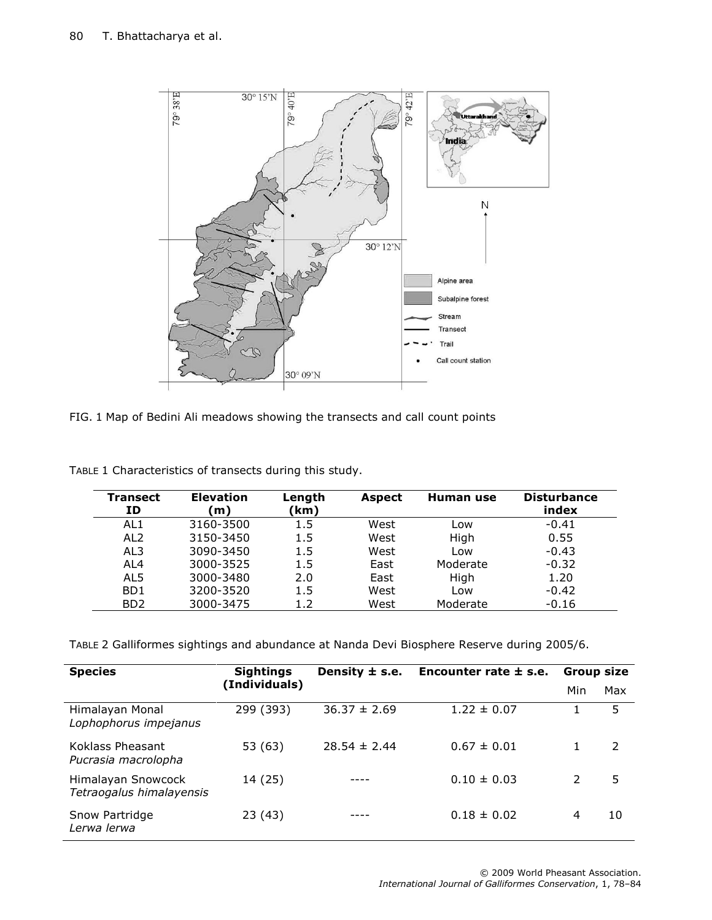

| FIG. 1 Map of Bedini Ali meadows showing the transects and call count points |  |  |  |  |  |  |  |  |  |
|------------------------------------------------------------------------------|--|--|--|--|--|--|--|--|--|
|------------------------------------------------------------------------------|--|--|--|--|--|--|--|--|--|

| <b>Transect</b><br>ΙD       | <b>Elevation</b><br>m) | Length<br>(km) | <b>Aspect</b> | Human use | <b>Disturbance</b><br>index |
|-----------------------------|------------------------|----------------|---------------|-----------|-----------------------------|
| AL <sub>1</sub>             | 3160-3500              | $1.5\,$        | West          | Low       | $-0.41$                     |
| AL <sub>2</sub>             | 3150-3450              | 1.5            | West          | High      | 0.55                        |
| AL3                         | 3090-3450              | 1.5            | West          | Low       | $-0.43$                     |
| AI $4$                      | 3000-3525              | 1.5            | East          | Moderate  | $-0.32$                     |
| AL5                         | 3000-3480              | 2.0            | East          | High      | 1.20                        |
| B <sub>D</sub> 1            | 3200-3520              | 1.5            | West          | Low       | $-0.42$                     |
| B <sub>D</sub> <sub>2</sub> | 3000-3475              | 1.2            | West          | Moderate  | $-0.16$                     |

TABLE 1 Characteristics of transects during this study.

TABLE 2 Galliformes sightings and abundance at Nanda Devi Biosphere Reserve during 2005/6.

| <b>Species</b>                                 | <b>Sightings</b> | Density $\pm$ s.e. | Encounter rate $\pm$ s.e. |     | <b>Group size</b> |
|------------------------------------------------|------------------|--------------------|---------------------------|-----|-------------------|
|                                                | (Individuals)    |                    |                           | Min | Max               |
| Himalayan Monal<br>Lophophorus impejanus       | 299 (393)        | $36.37 \pm 2.69$   | $1.22 \pm 0.07$           |     | 5                 |
| Koklass Pheasant<br>Pucrasia macrolopha        | 53 (63)          | $28.54 \pm 2.44$   | $0.67 \pm 0.01$           |     | $\mathcal{L}$     |
| Himalayan Snowcock<br>Tetraogalus himalayensis | 14 (25)          |                    | $0.10 \pm 0.03$           |     | 5                 |
| Snow Partridge<br>Lerwa lerwa                  | 23 (43)          |                    | $0.18 \pm 0.02$           | 4   | 10                |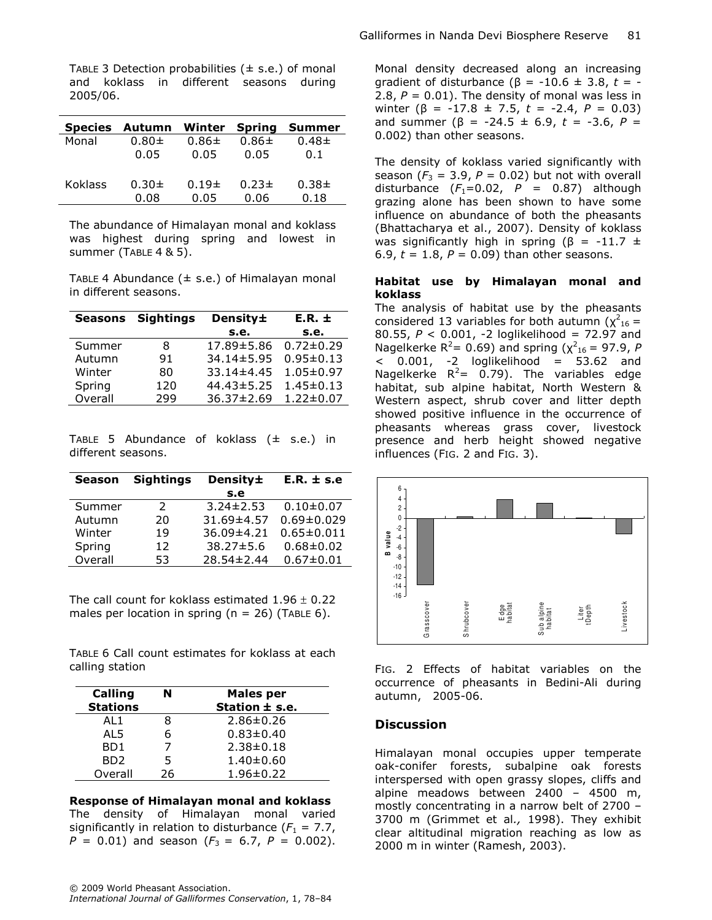| <b>Species</b> | Autumn     | Winter     | <b>Spring</b> | <b>Summer</b> |
|----------------|------------|------------|---------------|---------------|
| Monal          | $0.80 +$   | $0.86 \pm$ | $0.86 \pm$    | $0.48 +$      |
|                | 0.05       | 0.05       | 0.05          | 0.1           |
| <b>Koklass</b> | $0.30 \pm$ | $0.19\pm$  | $0.23 \pm$    | $0.38 +$      |
|                | 0.08       | 0.05       | 0.06          | 0.18          |

TABLE 3 Detection probabilities  $(± s.e.)$  of monal and koklass in different seasons during 2005/06.

The abundance of Himalayan monal and koklass was highest during spring and lowest in summer (TABLE 4 & 5).

TABLE 4 Abundance  $(\pm s.e.)$  of Himalayan monal in different seasons.

| <b>Seasons</b> | <b>Sightings</b> | Density±         | $E.R. \pm$      |
|----------------|------------------|------------------|-----------------|
|                |                  | s.e.             | s.e.            |
| Summer         | 8                | 17.89±5.86       | $0.72 \pm 0.29$ |
| Autumn         | 91               | $34.14 \pm 5.95$ | $0.95 \pm 0.13$ |
| Winter         | 80               | $33.14 \pm 4.45$ | $1.05 \pm 0.97$ |
| Spring         | 120              | $44.43 \pm 5.25$ | $1.45 \pm 0.13$ |
| Overall        | 299              | 36.37±2.69       | $1.22 \pm 0.07$ |

TABLE 5 Abundance of koklass  $(\pm \text{ s.e.})$  in different seasons.

| <b>Season</b> | <b>Sightings</b> | Density±         | $E.R. \pm s.e$   |
|---------------|------------------|------------------|------------------|
|               |                  | s.e              |                  |
| Summer        | $\mathcal{L}$    | $3.24 \pm 2.53$  | $0.10 \pm 0.07$  |
| Autumn        | 20               | 31.69±4.57       | $0.69 \pm 0.029$ |
| Winter        | 19               | 36.09±4.21       | $0.65 \pm 0.011$ |
| Spring        | 12               | $38.27 \pm 5.6$  | $0.68 + 0.02$    |
| Overall       | 53.              | $28.54 \pm 2.44$ | $0.67 \pm 0.01$  |

The call count for koklass estimated  $1.96 \pm 0.22$ males per location in spring ( $n = 26$ ) (TABLE 6).

TABLE 6 Call count estimates for koklass at each calling station

| <b>Calling</b>  | N  | <b>Males per</b> |
|-----------------|----|------------------|
| <b>Stations</b> |    | Station ± s.e.   |
| AL1             | 8  | $2.86 \pm 0.26$  |
| AL5             | 6  | $0.83 \pm 0.40$  |
| BD1             |    | $2.38 \pm 0.18$  |
| BD <sub>2</sub> | 5  | $1.40 \pm 0.60$  |
| Overall         | 26 | $1.96 \pm 0.22$  |

Response of Himalayan monal and koklass The density of Himalayan monal varied significantly in relation to disturbance  $(F_1 = 7.7)$ ,  $P = 0.01$ ) and season ( $F_3 = 6.7$ ,  $P = 0.002$ ).

Monal density decreased along an increasing gradient of disturbance ( $\beta$  = -10.6 ± 3.8, t = -2.8,  $P = 0.01$ ). The density of monal was less in winter  $(\beta = -17.8 \pm 7.5, t = -2.4, P = 0.03)$ and summer (β = -24.5 ± 6.9, t = -3.6,  $P =$ 0.002) than other seasons.

The density of koklass varied significantly with season ( $F_3 = 3.9$ ,  $P = 0.02$ ) but not with overall disturbance  $(F_1=0.02, P = 0.87)$  although grazing alone has been shown to have some influence on abundance of both the pheasants (Bhattacharya et al., 2007). Density of koklass was significantly high in spring ( $\beta$  = -11.7  $\pm$ 6.9,  $t = 1.8$ ,  $P = 0.09$ ) than other seasons.

#### Habitat use by Himalayan monal and koklass

The analysis of habitat use by the pheasants considered 13 variables for both autumn ( $\chi^2_{16}$  = 80.55,  $P < 0.001$ , -2 loglikelihood = 72.97 and Nagelkerke R<sup>2</sup>= 0.69) and spring ( $\chi^2_{16}$  = 97.9, P  $<$  0.001, -2 loglikelihood = 53.62 and Nagelkerke  $R^2 = 0.79$ ). The variables edge habitat, sub alpine habitat, North Western & Western aspect, shrub cover and litter depth showed positive influence in the occurrence of pheasants whereas grass cover, livestock presence and herb height showed negative influences (FIG. 2 and FIG. 3).



FIG. 2 Effects of habitat variables on the occurrence of pheasants in Bedini-Ali during autumn, 2005-06.

#### **Discussion**

Himalayan monal occupies upper temperate oak-conifer forests, subalpine oak forests interspersed with open grassy slopes, cliffs and alpine meadows between 2400 – 4500 m, mostly concentrating in a narrow belt of 2700 – 3700 m (Grimmet et al., 1998). They exhibit clear altitudinal migration reaching as low as 2000 m in winter (Ramesh, 2003).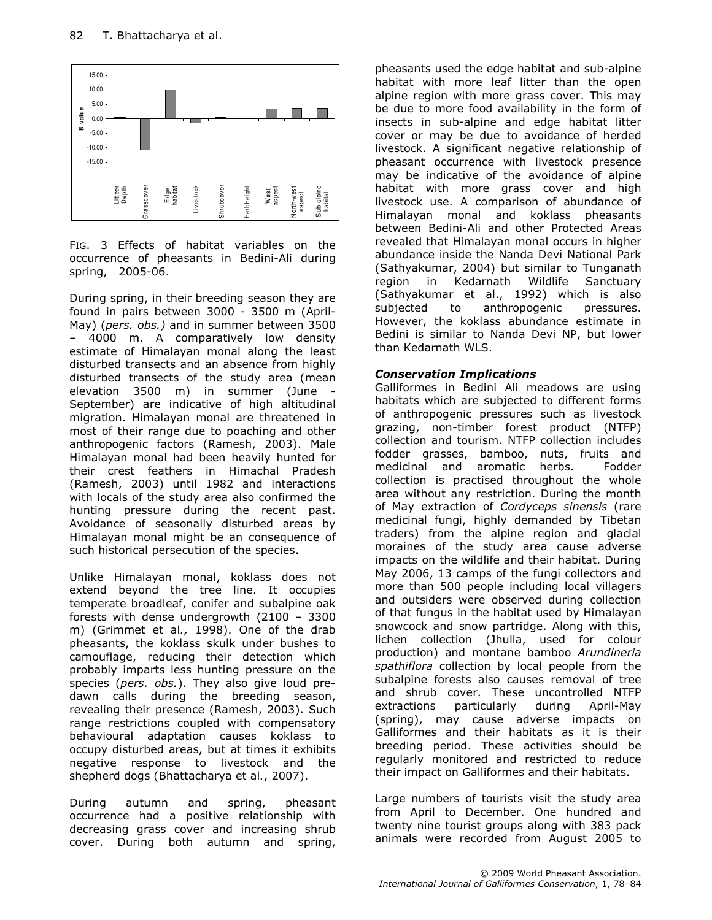

FIG. 3 Effects of habitat variables on the occurrence of pheasants in Bedini-Ali during spring, 2005-06.

During spring, in their breeding season they are found in pairs between 3000 - 3500 m (April-May) (pers. obs.) and in summer between 3500 4000 m. A comparatively low density estimate of Himalayan monal along the least disturbed transects and an absence from highly disturbed transects of the study area (mean elevation 3500 m) in summer (June - September) are indicative of high altitudinal migration. Himalayan monal are threatened in most of their range due to poaching and other anthropogenic factors (Ramesh, 2003). Male Himalayan monal had been heavily hunted for their crest feathers in Himachal Pradesh (Ramesh, 2003) until 1982 and interactions with locals of the study area also confirmed the hunting pressure during the recent past. Avoidance of seasonally disturbed areas by Himalayan monal might be an consequence of such historical persecution of the species.

Unlike Himalayan monal, koklass does not extend beyond the tree line. It occupies temperate broadleaf, conifer and subalpine oak forests with dense undergrowth (2100 – 3300 m) (Grimmet et al., 1998). One of the drab pheasants, the koklass skulk under bushes to camouflage, reducing their detection which probably imparts less hunting pressure on the species (pers. obs.). They also give loud predawn calls during the breeding season, revealing their presence (Ramesh, 2003). Such range restrictions coupled with compensatory behavioural adaptation causes koklass to occupy disturbed areas, but at times it exhibits negative response to livestock and the shepherd dogs (Bhattacharya et al., 2007).

During autumn and spring, pheasant occurrence had a positive relationship with decreasing grass cover and increasing shrub cover. During both autumn and spring,

pheasants used the edge habitat and sub-alpine habitat with more leaf litter than the open alpine region with more grass cover. This may be due to more food availability in the form of insects in sub-alpine and edge habitat litter cover or may be due to avoidance of herded livestock. A significant negative relationship of pheasant occurrence with livestock presence may be indicative of the avoidance of alpine habitat with more grass cover and high livestock use. A comparison of abundance of Himalayan monal and koklass pheasants between Bedini-Ali and other Protected Areas revealed that Himalayan monal occurs in higher abundance inside the Nanda Devi National Park (Sathyakumar, 2004) but similar to Tunganath region in Kedarnath Wildlife Sanctuary (Sathyakumar et al., 1992) which is also subjected to anthropogenic pressures. However, the koklass abundance estimate in Bedini is similar to Nanda Devi NP, but lower than Kedarnath WLS.

#### Conservation Implications

Galliformes in Bedini Ali meadows are using habitats which are subjected to different forms of anthropogenic pressures such as livestock grazing, non-timber forest product (NTFP) collection and tourism. NTFP collection includes fodder grasses, bamboo, nuts, fruits and medicinal and aromatic herbs. Fodder collection is practised throughout the whole area without any restriction. During the month of May extraction of Cordyceps sinensis (rare medicinal fungi, highly demanded by Tibetan traders) from the alpine region and glacial moraines of the study area cause adverse impacts on the wildlife and their habitat. During May 2006, 13 camps of the fungi collectors and more than 500 people including local villagers and outsiders were observed during collection of that fungus in the habitat used by Himalayan snowcock and snow partridge. Along with this, lichen collection (Jhulla, used for colour production) and montane bamboo Arundineria spathiflora collection by local people from the subalpine forests also causes removal of tree and shrub cover. These uncontrolled NTFP extractions particularly during April-May (spring), may cause adverse impacts on Galliformes and their habitats as it is their breeding period. These activities should be regularly monitored and restricted to reduce their impact on Galliformes and their habitats.

Large numbers of tourists visit the study area from April to December. One hundred and twenty nine tourist groups along with 383 pack animals were recorded from August 2005 to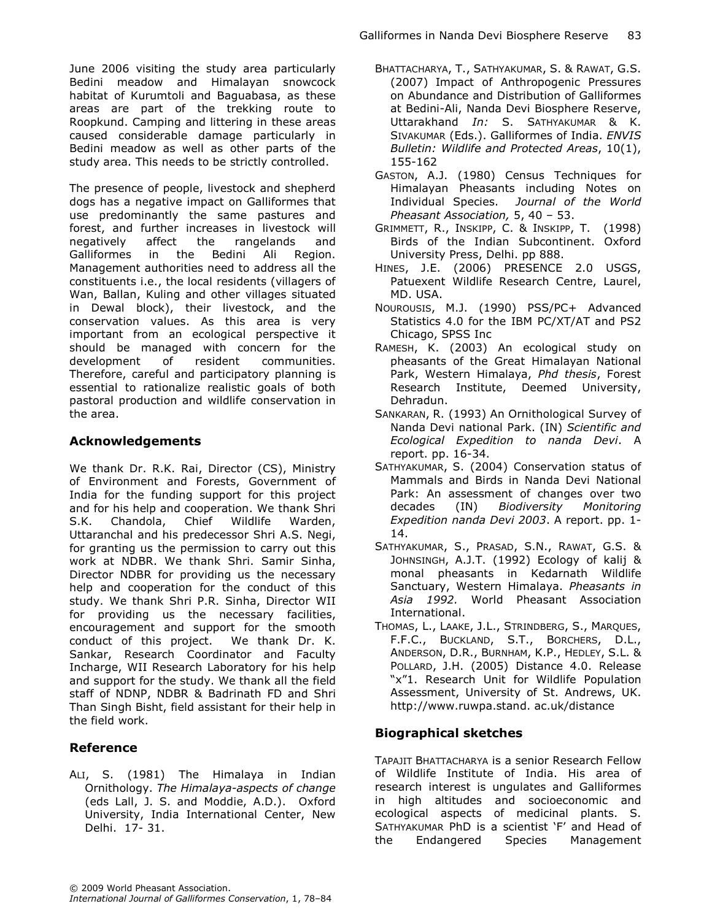June 2006 visiting the study area particularly Bedini meadow and Himalayan snowcock habitat of Kurumtoli and Baguabasa, as these areas are part of the trekking route to Roopkund. Camping and littering in these areas caused considerable damage particularly in Bedini meadow as well as other parts of the study area. This needs to be strictly controlled.

The presence of people, livestock and shepherd dogs has a negative impact on Galliformes that use predominantly the same pastures and forest, and further increases in livestock will negatively affect the rangelands and Galliformes in the Bedini Ali Region. Management authorities need to address all the constituents i.e., the local residents (villagers of Wan, Ballan, Kuling and other villages situated in Dewal block), their livestock, and the conservation values. As this area is very important from an ecological perspective it should be managed with concern for the development of resident communities. Therefore, careful and participatory planning is essential to rationalize realistic goals of both pastoral production and wildlife conservation in the area.

# Acknowledgements

We thank Dr. R.K. Rai, Director (CS), Ministry of Environment and Forests, Government of India for the funding support for this project and for his help and cooperation. We thank Shri S.K. Chandola, Chief Wildlife Warden, Uttaranchal and his predecessor Shri A.S. Negi, for granting us the permission to carry out this work at NDBR. We thank Shri. Samir Sinha, Director NDBR for providing us the necessary help and cooperation for the conduct of this study. We thank Shri P.R. Sinha, Director WII for providing us the necessary facilities, encouragement and support for the smooth conduct of this project. We thank Dr. K. Sankar, Research Coordinator and Faculty Incharge, WII Research Laboratory for his help and support for the study. We thank all the field staff of NDNP, NDBR & Badrinath FD and Shri Than Singh Bisht, field assistant for their help in the field work.

# Reference

ALI, S. (1981) The Himalaya in Indian Ornithology. The Himalaya-aspects of change (eds Lall, J. S. and Moddie, A.D.). Oxford University, India International Center, New Delhi. 17- 31.

- BHATTACHARYA, T., SATHYAKUMAR, S. & RAWAT, G.S. (2007) Impact of Anthropogenic Pressures on Abundance and Distribution of Galliformes at Bedini-Ali, Nanda Devi Biosphere Reserve, Uttarakhand In: S. SATHYAKUMAR & K. SIVAKUMAR (Eds.). Galliformes of India. ENVIS Bulletin: Wildlife and Protected Areas, 10(1), 155-162
- GASTON, A.J. (1980) Census Techniques for Himalayan Pheasants including Notes on Individual Species. Journal of the World Pheasant Association, 5, 40 – 53.
- GRIMMETT, R., INSKIPP, C. & INSKIPP, T. (1998) Birds of the Indian Subcontinent. Oxford University Press, Delhi. pp 888.
- HINES, J.E. (2006) PRESENCE 2.0 USGS, Patuexent Wildlife Research Centre, Laurel, MD. USA.
- NOUROUSIS, M.J. (1990) PSS/PC+ Advanced Statistics 4.0 for the IBM PC/XT/AT and PS2 Chicago, SPSS Inc
- RAMESH, K. (2003) An ecological study on pheasants of the Great Himalayan National Park, Western Himalaya, Phd thesis, Forest Research Institute, Deemed University, Dehradun.
- SANKARAN, R. (1993) An Ornithological Survey of Nanda Devi national Park. (IN) Scientific and Ecological Expedition to nanda Devi. A report. pp. 16-34.
- SATHYAKUMAR, S. (2004) Conservation status of Mammals and Birds in Nanda Devi National Park: An assessment of changes over two decades (IN) Biodiversity Monitoring Expedition nanda Devi 2003. A report. pp. 1- 14.
- SATHYAKUMAR, S., PRASAD, S.N., RAWAT, G.S. & JOHNSINGH, A.J.T. (1992) Ecology of kalij & monal pheasants in Kedarnath Wildlife Sanctuary, Western Himalaya. Pheasants in Asia 1992. World Pheasant Association International.
- THOMAS, L., LAAKE, J.L., STRINDBERG, S., MARQUES, F.F.C., BUCKLAND, S.T., BORCHERS, D.L., ANDERSON, D.R., BURNHAM, K.P., HEDLEY, S.L. & POLLARD, J.H. (2005) Distance 4.0. Release "x"1. Research Unit for Wildlife Population Assessment, University of St. Andrews, UK. http://www.ruwpa.stand. ac.uk/distance

# Biographical sketches

TAPAJIT BHATTACHARYA is a senior Research Fellow of Wildlife Institute of India. His area of research interest is ungulates and Galliformes in high altitudes and socioeconomic and ecological aspects of medicinal plants. S. SATHYAKUMAR PhD is a scientist 'F' and Head of the Endangered Species Management